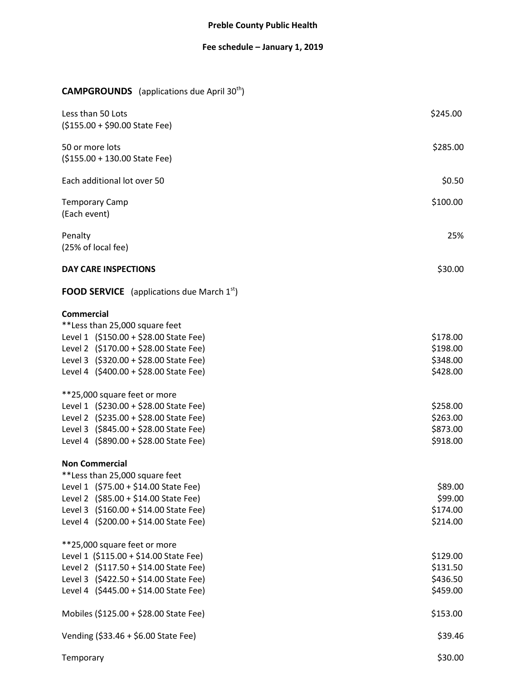## **Fee schedule – January 1, 2019**

## **CAMPGROUNDS** (applications due April 30<sup>th</sup>)

| Less than 50 Lots<br>$($155.00 + $90.00$ State Fee)                                                                                                                                                  | \$245.00                                     |
|------------------------------------------------------------------------------------------------------------------------------------------------------------------------------------------------------|----------------------------------------------|
| 50 or more lots<br>$($155.00 + 130.00$ State Fee)                                                                                                                                                    | \$285.00                                     |
| Each additional lot over 50                                                                                                                                                                          | \$0.50                                       |
| <b>Temporary Camp</b><br>(Each event)                                                                                                                                                                | \$100.00                                     |
| Penalty<br>(25% of local fee)                                                                                                                                                                        | 25%                                          |
| <b>DAY CARE INSPECTIONS</b>                                                                                                                                                                          | \$30.00                                      |
| <b>FOOD SERVICE</b> (applications due March $1st$ )                                                                                                                                                  |                                              |
| <b>Commercial</b><br>** Less than 25,000 square feet<br>Level 1 (\$150.00 + \$28.00 State Fee)<br>Level 2 (\$170.00 + \$28.00 State Fee)<br>Level 3 (\$320.00 + \$28.00 State Fee)                   | \$178.00<br>\$198.00<br>\$348.00             |
| Level 4 (\$400.00 + \$28.00 State Fee)                                                                                                                                                               | \$428.00                                     |
| **25,000 square feet or more<br>Level 1 (\$230.00 + \$28.00 State Fee)<br>Level 2 (\$235.00 + \$28.00 State Fee)<br>Level 3 (\$845.00 + \$28.00 State Fee)<br>Level 4 (\$890.00 + \$28.00 State Fee) | \$258.00<br>\$263.00<br>\$873.00<br>\$918.00 |
| <b>Non Commercial</b>                                                                                                                                                                                |                                              |
| **Less than 25,000 square feet<br>Level 1 (\$75.00 + \$14.00 State Fee)<br>Level 2 (\$85.00 + \$14.00 State Fee)<br>Level 3 (\$160.00 + \$14.00 State Fee)<br>Level 4 (\$200.00 + \$14.00 State Fee) | \$89.00<br>\$99.00<br>\$174.00<br>\$214.00   |
| **25,000 square feet or more<br>Level 1 (\$115.00 + \$14.00 State Fee)<br>Level 2 (\$117.50 + \$14.00 State Fee)<br>Level 3 (\$422.50 + \$14.00 State Fee)<br>Level 4 (\$445.00 + \$14.00 State Fee) | \$129.00<br>\$131.50<br>\$436.50<br>\$459.00 |
| Mobiles (\$125.00 + \$28.00 State Fee)                                                                                                                                                               | \$153.00                                     |
| Vending (\$33.46 + \$6.00 State Fee)                                                                                                                                                                 | \$39.46                                      |
| Temporary                                                                                                                                                                                            | \$30.00                                      |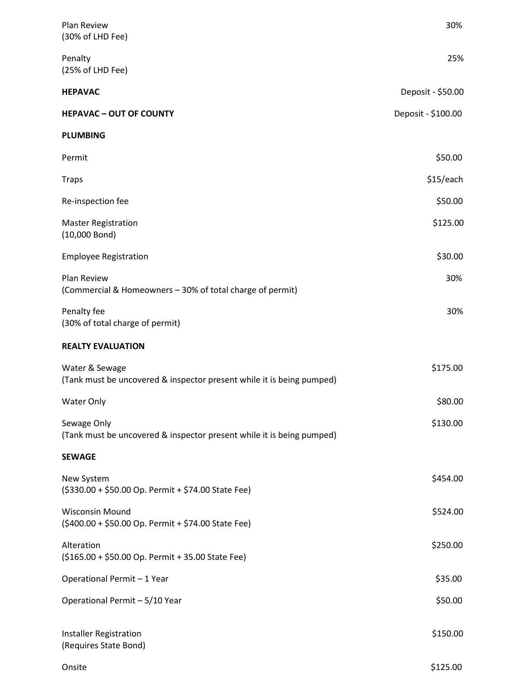| Plan Review<br>(30% of LHD Fee)                                                         | 30%                |
|-----------------------------------------------------------------------------------------|--------------------|
| Penalty<br>(25% of LHD Fee)                                                             | 25%                |
| <b>HEPAVAC</b>                                                                          | Deposit - \$50.00  |
| <b>HEPAVAC - OUT OF COUNTY</b>                                                          | Deposit - \$100.00 |
| <b>PLUMBING</b>                                                                         |                    |
| Permit                                                                                  | \$50.00            |
| <b>Traps</b>                                                                            | \$15/each          |
| Re-inspection fee                                                                       | \$50.00            |
| <b>Master Registration</b><br>(10,000 Bond)                                             | \$125.00           |
| <b>Employee Registration</b>                                                            | \$30.00            |
| Plan Review<br>(Commercial & Homeowners - 30% of total charge of permit)                | 30%                |
| Penalty fee<br>(30% of total charge of permit)                                          | 30%                |
| <b>REALTY EVALUATION</b>                                                                |                    |
| Water & Sewage<br>(Tank must be uncovered & inspector present while it is being pumped) | \$175.00           |
| <b>Water Only</b>                                                                       | \$80.00            |
| Sewage Only<br>(Tank must be uncovered & inspector present while it is being pumped)    | \$130.00           |
| <b>SEWAGE</b>                                                                           |                    |
| New System<br>(\$330.00 + \$50.00 Op. Permit + \$74.00 State Fee)                       | \$454.00           |
| <b>Wisconsin Mound</b><br>(\$400.00 + \$50.00 Op. Permit + \$74.00 State Fee)           | \$524.00           |
| Alteration<br>(\$165.00 + \$50.00 Op. Permit + 35.00 State Fee)                         | \$250.00           |
| Operational Permit - 1 Year                                                             | \$35.00            |
| Operational Permit - 5/10 Year                                                          | \$50.00            |
| <b>Installer Registration</b><br>(Requires State Bond)                                  | \$150.00           |
| Onsite                                                                                  | \$125.00           |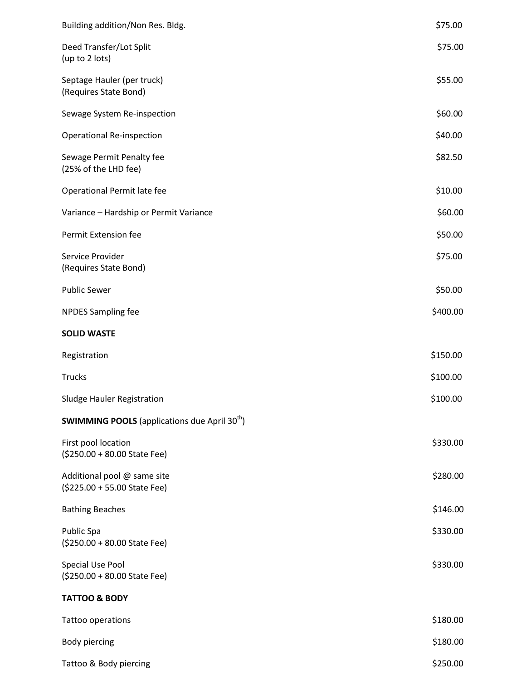| Building addition/Non Res. Bldg.                                 | \$75.00  |
|------------------------------------------------------------------|----------|
| Deed Transfer/Lot Split<br>(up to 2 lots)                        | \$75.00  |
| Septage Hauler (per truck)<br>(Requires State Bond)              | \$55.00  |
| Sewage System Re-inspection                                      | \$60.00  |
| <b>Operational Re-inspection</b>                                 | \$40.00  |
| Sewage Permit Penalty fee<br>(25% of the LHD fee)                | \$82.50  |
| Operational Permit late fee                                      | \$10.00  |
| Variance - Hardship or Permit Variance                           | \$60.00  |
| Permit Extension fee                                             | \$50.00  |
| Service Provider<br>(Requires State Bond)                        | \$75.00  |
| <b>Public Sewer</b>                                              | \$50.00  |
| <b>NPDES Sampling fee</b>                                        | \$400.00 |
| <b>SOLID WASTE</b>                                               |          |
| Registration                                                     | \$150.00 |
| <b>Trucks</b>                                                    | \$100.00 |
| Sludge Hauler Registration                                       | \$100.00 |
| <b>SWIMMING POOLS</b> (applications due April 30 <sup>th</sup> ) |          |
| First pool location<br>(\$250.00 + 80.00 State Fee)              | \$330.00 |
| Additional pool @ same site<br>$($225.00 + 55.00$ State Fee)     | \$280.00 |
| <b>Bathing Beaches</b>                                           | \$146.00 |
| Public Spa<br>(\$250.00 + 80.00 State Fee)                       | \$330.00 |
| Special Use Pool<br>(\$250.00 + 80.00 State Fee)                 | \$330.00 |
| <b>TATTOO &amp; BODY</b>                                         |          |
| Tattoo operations                                                | \$180.00 |
| Body piercing                                                    | \$180.00 |
| Tattoo & Body piercing                                           | \$250.00 |